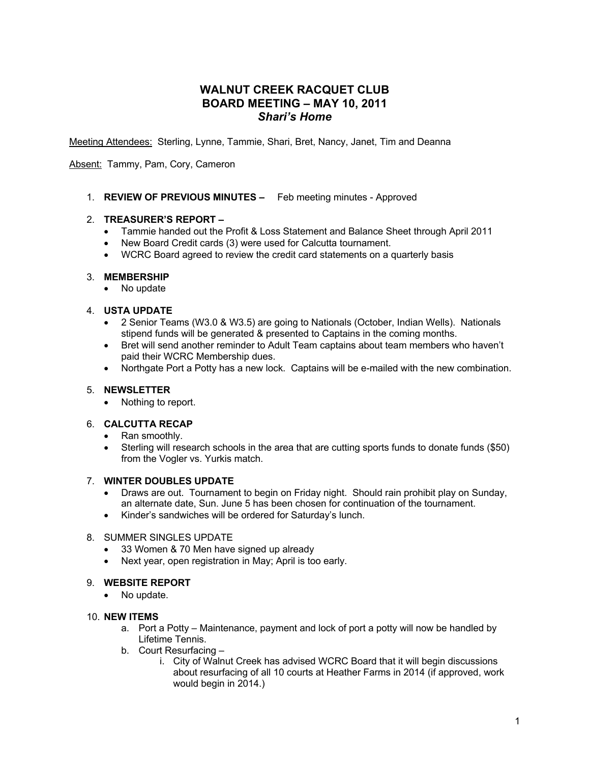# **WALNUT CREEK RACQUET CLUB BOARD MEETING – MAY 10, 2011** *Shari's Home*

Meeting Attendees: Sterling, Lynne, Tammie, Shari, Bret, Nancy, Janet, Tim and Deanna

Absent: Tammy, Pam, Cory, Cameron

1. **REVIEW OF PREVIOUS MINUTES –** Feb meeting minutes - Approved

### 2. **TREASURER'S REPORT –**

- Tammie handed out the Profit & Loss Statement and Balance Sheet through April 2011
- New Board Credit cards (3) were used for Calcutta tournament.
- WCRC Board agreed to review the credit card statements on a quarterly basis

### 3. **MEMBERSHIP**

• No update

### 4. **USTA UPDATE**

- 2 Senior Teams (W3.0 & W3.5) are going to Nationals (October, Indian Wells). Nationals stipend funds will be generated & presented to Captains in the coming months.
- Bret will send another reminder to Adult Team captains about team members who haven't paid their WCRC Membership dues.
- Northgate Port a Potty has a new lock. Captains will be e-mailed with the new combination.

# 5. **NEWSLETTER**

• Nothing to report.

# 6. **CALCUTTA RECAP**

- Ran smoothly.
- Sterling will research schools in the area that are cutting sports funds to donate funds (\$50) from the Vogler vs. Yurkis match.

#### 7. **WINTER DOUBLES UPDATE**

- Draws are out. Tournament to begin on Friday night. Should rain prohibit play on Sunday, an alternate date, Sun. June 5 has been chosen for continuation of the tournament.
- Kinder's sandwiches will be ordered for Saturday's lunch.

#### 8. SUMMER SINGLES UPDATE

- 33 Women & 70 Men have signed up already
- Next year, open registration in May; April is too early.

#### 9. **WEBSITE REPORT**

• No update.

# 10. **NEW ITEMS**

- a. Port a Potty Maintenance, payment and lock of port a potty will now be handled by Lifetime Tennis.
- b. Court Resurfacing
	- i. City of Walnut Creek has advised WCRC Board that it will begin discussions about resurfacing of all 10 courts at Heather Farms in 2014 (if approved, work would begin in 2014.)